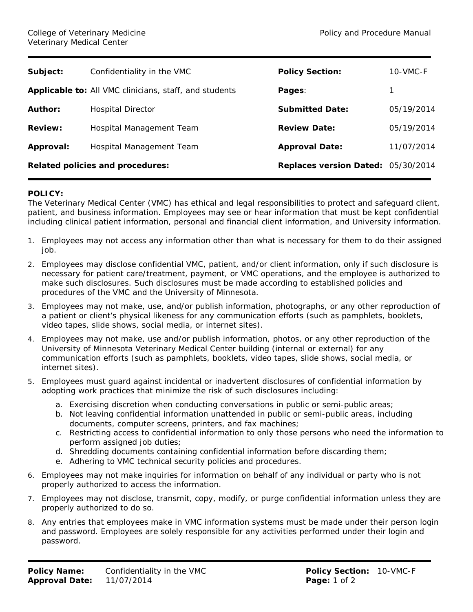| Subject:                                | Confidentiality in the VMC                             | <b>Policy Section:</b>             | 10-VMC-F   |
|-----------------------------------------|--------------------------------------------------------|------------------------------------|------------|
|                                         | Applicable to: All VMC clinicians, staff, and students | Pages:                             |            |
| Author:                                 | <b>Hospital Director</b>                               | <b>Submitted Date:</b>             | 05/19/2014 |
| <b>Review:</b>                          | Hospital Management Team                               | <b>Review Date:</b>                | 05/19/2014 |
| Approval:                               | Hospital Management Team                               | <b>Approval Date:</b>              | 11/07/2014 |
| <b>Related policies and procedures:</b> |                                                        | Replaces version Dated: 05/30/2014 |            |
|                                         |                                                        |                                    |            |

## **POLICY:**

The Veterinary Medical Center (VMC) has ethical and legal responsibilities to protect and safeguard client, patient, and business information. Employees may see or hear information that must be kept confidential including clinical patient information, personal and financial client information, and University information.

- 1. Employees may not access any information other than what is necessary for them to do their assigned job.
- 2. Employees may disclose confidential VMC, patient, and/or client information, only if such disclosure is necessary for patient care/treatment, payment, or VMC operations, and the employee is authorized to make such disclosures. Such disclosures must be made according to established policies and procedures of the VMC and the University of Minnesota.
- 3. Employees may not make, use, and/or publish information, photographs, or any other reproduction of a patient or client's physical likeness for any communication efforts (such as pamphlets, booklets, video tapes, slide shows, social media, or internet sites).
- 4. Employees may not make, use and/or publish information, photos, or any other reproduction of the University of Minnesota Veterinary Medical Center building (internal or external) for any communication efforts (such as pamphlets, booklets, video tapes, slide shows, social media, or internet sites).
- 5. Employees must guard against incidental or inadvertent disclosures of confidential information by adopting work practices that minimize the risk of such disclosures including:
	- a. Exercising discretion when conducting conversations in public or semi-public areas;
	- b. Not leaving confidential information unattended in public or semi-public areas, including documents, computer screens, printers, and fax machines;
	- c. Restricting access to confidential information to only those persons who need the information to perform assigned job duties;
	- d. Shredding documents containing confidential information before discarding them;
	- e. Adhering to VMC technical security policies and procedures.
- 6. Employees may not make inquiries for information on behalf of any individual or party who is not properly authorized to access the information.
- 7. Employees may not disclose, transmit, copy, modify, or purge confidential information unless they are properly authorized to do so.
- 8. Any entries that employees make in VMC information systems must be made under their person login and password. Employees are solely responsible for any activities performed under their login and password.